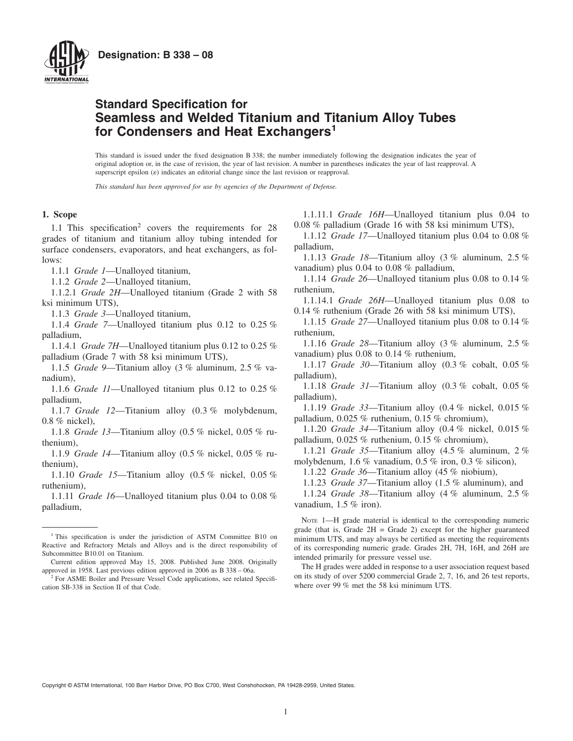

# **Standard Specification for Seamless and Welded Titanium and Titanium Alloy Tubes for Condensers and Heat Exchangers<sup>1</sup>**

This standard is issued under the fixed designation B 338; the number immediately following the designation indicates the year of original adoption or, in the case of revision, the year of last revision. A number in parentheses indicates the year of last reapproval. A superscript epsilon  $(\varepsilon)$  indicates an editorial change since the last revision or reapproval.

*This standard has been approved for use by agencies of the Department of Defense.*

#### **1. Scope**

1.1 This specification<sup>2</sup> covers the requirements for 28 grades of titanium and titanium alloy tubing intended for surface condensers, evaporators, and heat exchangers, as follows:

1.1.1 *Grade 1*—Unalloyed titanium,

1.1.2 *Grade 2*—Unalloyed titanium,

1.1.2.1 *Grade 2H*—Unalloyed titanium (Grade 2 with 58 ksi minimum UTS),

1.1.3 *Grade 3*—Unalloyed titanium,

1.1.4 *Grade 7*—Unalloyed titanium plus 0.12 to 0.25 % palladium,

1.1.4.1 *Grade 7H*—Unalloyed titanium plus 0.12 to 0.25 % palladium (Grade 7 with 58 ksi minimum UTS),

1.1.5 *Grade 9*—Titanium alloy (3 % aluminum, 2.5 % vanadium),

1.1.6 *Grade 11*—Unalloyed titanium plus 0.12 to 0.25 % palladium,

1.1.7 *Grade 12*—Titanium alloy (0.3 % molybdenum, 0.8 % nickel),

1.1.8 *Grade 13*—Titanium alloy (0.5 % nickel, 0.05 % ruthenium),

1.1.9 *Grade 14*—Titanium alloy (0.5 % nickel, 0.05 % ruthenium),

1.1.10 *Grade 15*—Titanium alloy (0.5 % nickel, 0.05 % ruthenium),

1.1.11 *Grade 16*—Unalloyed titanium plus 0.04 to 0.08 % palladium,

<span id="page-0-0"></span>1.1.11.1 *Grade 16H*—Unalloyed titanium plus 0.04 to 0.08 % palladium (Grade 16 with 58 ksi minimum UTS),

1.1.12 *Grade 17*—Unalloyed titanium plus 0.04 to 0.08 % palladium,

1.1.13 *Grade 18*—Titanium alloy (3 % aluminum, 2.5 % vanadium) plus 0.04 to 0.08 % palladium,

1.1.14 *Grade 26*—Unalloyed titanium plus 0.08 to 0.14 % ruthenium,

1.1.14.1 *Grade 26H*—Unalloyed titanium plus 0.08 to 0.14 % ruthenium (Grade 26 with 58 ksi minimum UTS),

1.1.15 *Grade 27*—Unalloyed titanium plus 0.08 to 0.14 % ruthenium,

1.1.16 *Grade 28*—Titanium alloy (3 % aluminum, 2.5 % vanadium) plus 0.08 to 0.14 % ruthenium,

1.1.17 *Grade 30*—Titanium alloy (0.3 % cobalt, 0.05 % palladium),

1.1.18 *Grade 31*—Titanium alloy (0.3 % cobalt, 0.05 % palladium),

1.1.19 *Grade 33*—Titanium alloy (0.4 % nickel, 0.015 % palladium, 0.025 % ruthenium, 0.15 % chromium),

1.1.20 *Grade 34*—Titanium alloy (0.4 % nickel, 0.015 % palladium, 0.025 % ruthenium, 0.15 % chromium),

1.1.21 *Grade 35*—Titanium alloy (4.5 % aluminum, 2 % molybdenum, 1.6 % vanadium, 0.5 % iron, 0.3 % silicon),

1.1.22 *Grade 36*—Titanium alloy (45 % niobium),

1.1.23 *Grade 37*—Titanium alloy (1.5 % aluminum), and

1.1.24 *Grade 38*—Titanium alloy (4 % aluminum, 2.5 % vanadium, 1.5 % iron).

NOTE 1—H grade material is identical to the corresponding numeric grade (that is, Grade  $2H =$  Grade 2) except for the higher guaranteed minimum UTS, and may always be certified as meeting the requirements of its corresponding numeric grade. Grades 2H, 7H, 16H, and 26H are intended primarily for pressure vessel use.

The H grades were added in response to a user association request based on its study of over 5200 commercial Grade 2, 7, 16, and 26 test reports, where over 99 % met the 58 ksi minimum UTS.

Copyright © ASTM International, 100 Barr Harbor Drive, PO Box C700, West Conshohocken, PA 19428-2959, United States.

<sup>&</sup>lt;sup>1</sup> This specification is under the jurisdiction of ASTM Committee B10 on Reactive and Refractory Metals and Alloys and is the direct responsibility of Subcommittee B10.01 on Titanium.

Current edition approved May 15, 2008. Published June 2008. Originally approved in 1958. Last previous edition approved in 2006 as B 338 – 06a.

<sup>&</sup>lt;sup>2</sup> For ASME Boiler and Pressure Vessel Code applications, see related Specification SB-338 in Section II of that Code.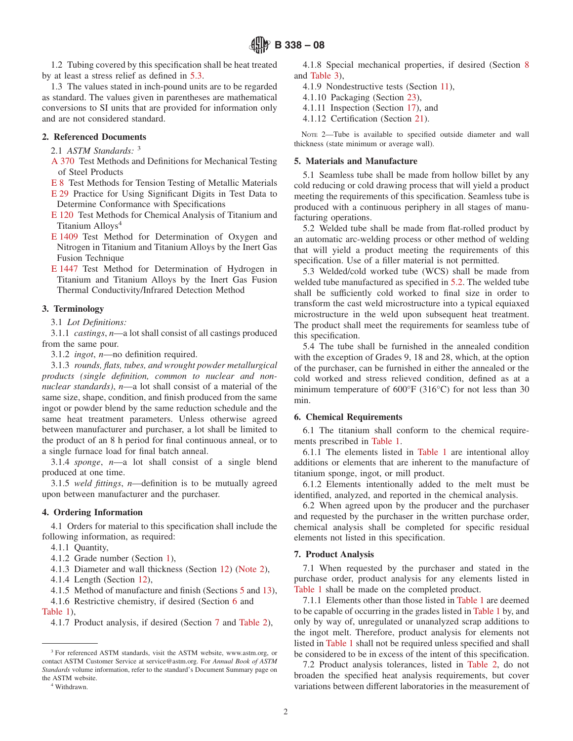1.2 Tubing covered by this specification shall be heat treated by at least a stress relief as defined in [5.3.](#page-1-0)

1.3 The values stated in inch-pound units are to be regarded as standard. The values given in parentheses are mathematical conversions to SI units that are provided for information only and are not considered standard.

# **2. Referenced Documents**

- 2.1 *ASTM Standards:* <sup>3</sup>
- [A 370](#page-3-0) Test Methods and Definitions for Mechanical Testing of Steel Products
- [E 8](#page-3-1) Test Methods for Tension Testing of Metallic Materials
- [E 29](#page-7-0) Practice for Using Significant Digits in Test Data to Determine Conformance with Specifications
- [E 120](#page-6-0) Test Methods for Chemical Analysis of Titanium and Titanium Alloys<sup>4</sup>
- [E 1409](#page-6-1) Test Method for Determination of Oxygen and Nitrogen in Titanium and Titanium Alloys by the Inert Gas Fusion Technique
- [E 1447](#page-6-2) Test Method for Determination of Hydrogen in Titanium and Titanium Alloys by the Inert Gas Fusion Thermal Conductivity/Infrared Detection Method

# **3. Terminology**

3.1 *Lot Definitions:*

3.1.1 *castings*, *n*—a lot shall consist of all castings produced from the same pour.

3.1.2 *ingot*, *n*—no definition required.

3.1.3 *rounds, flats, tubes, and wrought powder metallurgical products (single definition, common to nuclear and nonnuclear standards)*, *n*—a lot shall consist of a material of the same size, shape, condition, and finish produced from the same ingot or powder blend by the same reduction schedule and the same heat treatment parameters. Unless otherwise agreed between manufacturer and purchaser, a lot shall be limited to the product of an 8 h period for final continuous anneal, or to a single furnace load for final batch anneal.

3.1.4 *sponge*, *n*—a lot shall consist of a single blend produced at one time.

3.1.5 *weld fittings*, *n*—definition is to be mutually agreed upon between manufacturer and the purchaser.

#### **4. Ordering Information**

4.1 Orders for material to this specification shall include the following information, as required:

4.1.1 Quantity,

4.1.2 Grade number (Section [1\)](#page-0-0),

- 4.1.3 Diameter and wall thickness (Section 12) [\(Note 2\)](#page-1-1),
- 4.1.4 Length (Section 12),

4.1.5 Method of manufacture and finish (Sections [5](#page-1-2) and 13),

4.1.6 Restrictive chemistry, if desired (Section 6 and [Table 1\)](#page-2-0),

4.1.7 Product analysis, if desired (Section [7](#page-1-3) and [Table 2\)](#page-3-2),

Withdrawn.

4.1.8 Special mechanical properties, if desired (Section [8](#page-3-3) and [Table 3\)](#page-4-0),

- 4.1.9 Nondestructive tests (Section [11\)](#page-4-1),
- 4.1.10 Packaging (Section [23\)](#page-7-1),
- <span id="page-1-1"></span>4.1.11 Inspection (Section 17), and
- <span id="page-1-6"></span><span id="page-1-5"></span>4.1.12 Certification (Section [21\)](#page-7-2).

NOTE 2—Tube is available to specified outside diameter and wall thickness (state minimum or average wall).

# <span id="page-1-2"></span>**5. Materials and Manufacture**

<span id="page-1-10"></span>5.1 Seamless tube shall be made from hollow billet by any cold reducing or cold drawing process that will yield a product meeting the requirements of this specification. Seamless tube is produced with a continuous periphery in all stages of manufacturing operations.

<span id="page-1-8"></span><span id="page-1-7"></span><span id="page-1-4"></span>5.2 Welded tube shall be made from flat-rolled product by an automatic arc-welding process or other method of welding that will yield a product meeting the requirements of this specification. Use of a filler material is not permitted.

<span id="page-1-9"></span><span id="page-1-0"></span>5.3 Welded/cold worked tube (WCS) shall be made from welded tube manufactured as specified in [5.2.](#page-1-4) The welded tube shall be sufficiently cold worked to final size in order to transform the cast weld microstructure into a typical equiaxed microstructure in the weld upon subsequent heat treatment. The product shall meet the requirements for seamless tube of this specification.

5.4 The tube shall be furnished in the annealed condition with the exception of Grades 9, 18 and 28, which, at the option of the purchaser, can be furnished in either the annealed or the cold worked and stress relieved condition, defined as at a minimum temperature of 600°F (316°C) for not less than 30 min.

#### **6. Chemical Requirements**

6.1 The titanium shall conform to the chemical requirements prescribed in [Table 1.](#page-2-0)

6.1.1 The elements listed in [Table 1](#page-2-0) are intentional alloy additions or elements that are inherent to the manufacture of titanium sponge, ingot, or mill product.

6.1.2 Elements intentionally added to the melt must be identified, analyzed, and reported in the chemical analysis.

6.2 When agreed upon by the producer and the purchaser and requested by the purchaser in the written purchase order, chemical analysis shall be completed for specific residual elements not listed in this specification.

#### <span id="page-1-3"></span>**7. Product Analysis**

7.1 When requested by the purchaser and stated in the purchase order, product analysis for any elements listed in [Table 1](#page-2-0) shall be made on the completed product.

7.1.1 Elements other than those listed in [Table 1](#page-2-0) are deemed to be capable of occurring in the grades listed in [Table 1](#page-2-0) by, and only by way of, unregulated or unanalyzed scrap additions to the ingot melt. Therefore, product analysis for elements not listed in [Table 1](#page-2-0) shall not be required unless specified and shall be considered to be in excess of the intent of this specification.

7.2 Product analysis tolerances, listed in [Table 2,](#page-3-2) do not broaden the specified heat analysis requirements, but cover variations between different laboratories in the measurement of

<sup>&</sup>lt;sup>3</sup> For referenced ASTM standards, visit the ASTM website, www.astm.org, or contact ASTM Customer Service at service@astm.org. For *Annual Book of ASTM Standards* volume information, refer to the standard's Document Summary page on the ASTM website.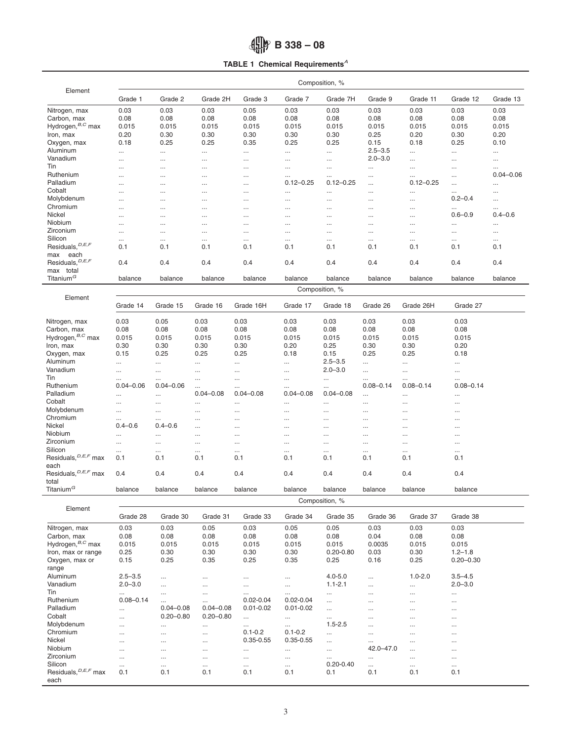# <span id="page-2-0"></span>**B 338 – 08**

**TABLE 1 Chemical Requirements***<sup>A</sup>*

|                                           | Composition, % |               |               |               |                   |                           |               |                           |                         |                           |
|-------------------------------------------|----------------|---------------|---------------|---------------|-------------------|---------------------------|---------------|---------------------------|-------------------------|---------------------------|
| Element                                   | Grade 1        | Grade 2       | Grade 2H      | Grade 3       | Grade 7           | Grade 7H                  | Grade 9       | Grade 11                  | Grade 12                | Grade 13                  |
| Nitrogen, max                             | 0.03           | 0.03          | 0.03          | 0.05          | 0.03              | 0.03                      | 0.03          | 0.03                      | 0.03                    | 0.03                      |
| Carbon, max                               | 0.08           | 0.08          | 0.08          | 0.08          | 0.08              | 0.08                      | 0.08          | 0.08                      | 0.08                    | 0.08                      |
| Hydrogen, $B, C$ max                      | 0.015          | 0.015         | 0.015         | 0.015         | 0.015             | 0.015                     | 0.015         | 0.015                     | 0.015                   | 0.015                     |
| Iron, max                                 | 0.20           | 0.30          | 0.30          | 0.30          | 0.30              | 0.30                      | 0.25          | 0.20                      | 0.30                    | 0.20                      |
| Oxygen, max                               | 0.18           | 0.25          | 0.25          | 0.35          | 0.25              | 0.25                      | 0.15          | 0.18                      | 0.25                    | 0.10                      |
| Aluminum                                  | $\cdots$       |               |               | $\cdots$      | $\cdots$          | $\cdots$                  | $2.5 - 3.5$   | $\ldots$                  |                         | $\cdots$                  |
| Vanadium                                  |                |               |               |               |                   | $\cdots$                  | $2.0 - 3.0$   | $\cdots$                  | $\cdots$                |                           |
| Tin                                       | $\cdots$       |               | $\cdots$      | $\cdots$      | $\cdots$          |                           |               |                           | $\cdots$                | $\cdots$                  |
| Ruthenium                                 | $\cdots$       |               |               | $\ldots$      | $\cdots$          | $\cdots$                  |               | $\cdots$                  | $\cdots$                | $\cdots$<br>$0.04 - 0.06$ |
| Palladium                                 | $\cdots$       |               |               | $\cdots$      | <br>$0.12 - 0.25$ | $\cdots$<br>$0.12 - 0.25$ |               | $\cdots$<br>$0.12 - 0.25$ | $\cdots$                |                           |
| Cobalt                                    | $\cdots$       | $\cdots$      |               | $\cdots$      |                   |                           | $\cdots$      |                           | $\cdots$                | $\cdots$                  |
| Molybdenum                                | $\cdots$       | $\cdots$      |               | $\cdots$      | $\cdots$          | $\cdots$                  |               | $\cdots$                  | $\cdots$<br>$0.2 - 0.4$ | $\cdots$                  |
| Chromium                                  | $\cdots$       |               |               | $\cdots$      |                   |                           |               | $\ldots$                  |                         | $\cdots$                  |
| Nickel                                    | $\cdots$       | $\cdots$      |               | $\cdots$      | $\cdots$          | $\cdots$                  |               | $\cdots$                  | $\cdots$<br>$0.6 - 0.9$ | $\cdots$<br>$0.4 - 0.6$   |
| Niobium                                   | $\cdots$       |               |               | $\cdots$      | $\cdots$          | $\cdots$                  | $\cdots$      | $\cdots$                  |                         |                           |
|                                           |                |               |               | $\cdots$      | $\cdots$          |                           | $\cdots$      | $\cdots$                  | $\cdots$                | $\cdots$                  |
| Zirconium                                 |                |               |               | $\cdots$      | $\cdots$          | $\cdots$                  |               | $\ldots$                  | $\cdots$                | $\cdots$                  |
| Silicon                                   | $\cdots$       | $\cdots$      | $\cdots$      | $\cdots$      | $\cdots$          | $\cdots$                  |               | $\cdots$                  | $\ldots$                | $\cdots$                  |
| Residuals, $D, E, F$                      | 0.1            | 0.1           | 0.1           | 0.1           | 0.1               | 0.1                       | 0.1           | 0.1                       | 0.1                     | 0.1                       |
| max<br>each                               |                |               |               |               |                   |                           |               |                           |                         |                           |
| Residuals, <sup>D, E, F</sup>             | 0.4            | 0.4           | 0.4           | 0.4           | 0.4               | 0.4                       | 0.4           | 0.4                       | 0.4                     | 0.4                       |
| max total                                 |                |               |               |               |                   |                           |               |                           |                         |                           |
| Titanium <sup>G</sup>                     | balance        | balance       | balance       | balance       | balance           | balance                   | balance       | balance                   | balance                 | balance                   |
|                                           |                |               |               |               |                   | Composition, %            |               |                           |                         |                           |
| Element                                   | Grade 14       | Grade 15      | Grade 16      | Grade 16H     | Grade 17          | Grade 18                  | Grade 26      | Grade 26H                 | Grade 27                |                           |
| Nitrogen, max                             | 0.03           | 0.05          | 0.03          | 0.03          | 0.03              | 0.03                      | 0.03          | 0.03                      | 0.03                    |                           |
| Carbon, max                               | 0.08           | 0.08          | 0.08          | 0.08          | 0.08              | 0.08                      | 0.08          | 0.08                      | 0.08                    |                           |
| Hydrogen, $B, C$ max                      |                |               |               |               |                   |                           |               |                           |                         |                           |
|                                           | 0.015          | 0.015         | 0.015         | 0.015         | 0.015             | 0.015                     | 0.015         | 0.015                     | 0.015                   |                           |
| Iron, max                                 | 0.30           | 0.30          | 0.30          | 0.30          | 0.20              | 0.25                      | 0.30          | 0.30                      | 0.20                    |                           |
| Oxygen, max                               | 0.15           | 0.25          | 0.25          | 0.25          | 0.18              | 0.15                      | 0.25          | 0.25                      | 0.18                    |                           |
| Aluminum                                  | $\cdots$       |               |               |               | $\cdots$          | $2.5 - 3.5$               |               |                           |                         |                           |
| Vanadium                                  | $\cdots$       | $\cdots$      |               |               | $\cdots$          | $2.0 - 3.0$               | $\cdots$      | $\cdots$                  | $\cdots$                |                           |
| Tin                                       | $\cdots$       | $\cdots$      | $\cdots$      | $\cdots$      | $\cdots$          | $\cdots$                  | $\cdots$      | $\cdots$                  | $\cdots$                |                           |
| Ruthenium                                 | $0.04 - 0.06$  | $0.04 - 0.06$ |               | $\cdots$      | $\cdots$          |                           | $0.08 - 0.14$ | $0.08 - 0.14$             | $0.08 - 0.14$           |                           |
| Palladium                                 |                |               | $0.04 - 0.08$ | $0.04 - 0.08$ | $0.04 - 0.08$     | $0.04 - 0.08$             | $\cdots$      |                           | $\cdots$                |                           |
| Cobalt                                    | $\cdots$       |               |               |               | $\cdots$          | $\cdots$                  |               |                           | $\cdots$                |                           |
| Molybdenum                                | $\cdots$       | $\cdots$      |               |               | $\cdots$          |                           | $\cdots$      |                           |                         |                           |
| Chromium                                  | $\cdots$       | $\cdots$      |               |               | $\cdots$          | $\cdots$                  |               |                           |                         |                           |
| Nickel                                    | $0.4 - 0.6$    | $0.4 - 0.6$   |               |               | $\cdots$          | $\cdots$                  | $\cdots$      | $\cdots$                  |                         |                           |
| Niobium                                   | $\cdots$       | $\cdots$      |               |               | $\cdots$          | $\cdots$                  |               |                           |                         |                           |
| Zirconium                                 | $\cdots$       | $\cdots$      | $\cdots$      |               | $\cdots$          | $\cdots$                  | $\cdots$      | $\cdots$                  |                         |                           |
| Silicon                                   |                |               | $\cdots$      |               |                   | $\cdots$                  | $\cdots$      |                           |                         |                           |
| Residuals, <sup>D, E, F</sup> max         | 0.1            | 0.1           | 0.1           | 0.1           | 0.1               | 0.1                       | 0.1           | 0.1                       | 0.1                     |                           |
| each<br>Residuals, <sup>D, E, F</sup> max | 0.4            | 0.4           | 0.4           | 0.4           | 0.4               | 0.4                       | 0.4           | 0.4                       | 0.4                     |                           |
| total                                     |                |               |               |               |                   |                           |               |                           |                         |                           |
| Titanium <sup>G</sup>                     | balance        | balance       | balance       | balance       | balance           | balance                   | balance       | balance                   | balance                 |                           |
| Element                                   | Composition, % |               |               |               |                   |                           |               |                           |                         |                           |
|                                           | Grade 28       | Grade 30      | Grade 31      | Grade 33      | Grade 34          | Grade 35                  | Grade 36      | Grade 37                  | Grade 38                |                           |
| Nitrogen, max                             | 0.03           | 0.03          | 0.05          | 0.03          | 0.05              | 0.05                      | 0.03          | 0.03                      | 0.03                    |                           |
| Carbon, max                               | 0.08           | 0.08          | 0.08          | 0.08          | 0.08              | 0.08                      | 0.04          | 0.08                      | 0.08                    |                           |
| Hydrogen, <sup>B,C</sup> max              | 0.015          | 0.015         | 0.015         | 0.015         | 0.015             | 0.015                     | 0.0035        | 0.015                     | 0.015                   |                           |
| Iron, max or range                        | 0.25           | 0.30          | 0.30          | 0.30          | 0.30              | $0.20 - 0.80$             | 0.03          | 0.30                      | $1.2 - 1.8$             |                           |
| Oxygen, max or                            | 0.15           | 0.25          | 0.35          | 0.25          | 0.35              | 0.25                      | 0.16          | 0.25                      | $0.20 - 0.30$           |                           |
| range                                     |                |               |               |               |                   |                           |               |                           |                         |                           |
| Aluminum                                  | $2.5 - 3.5$    |               |               | $\ldots$      | $\cdots$          | $4.0 - 5.0$               |               | $1.0 - 2.0$               | $3.5 - 4.5$             |                           |
| Vanadium                                  | $2.0 - 3.0$    |               | $\cdots$      | $\cdots$      | $\cdots$          | $1.1 - 2.1$               | $\cdots$      | $\ldots$                  | $2.0 - 3.0$             |                           |
| Tin                                       | $\ldots$       |               | $\cdots$      | $\ldots$      | $\cdots$          | $\cdots$                  | $\cdots$      | $\cdots$                  | $\ldots$                |                           |
| Ruthenium                                 | $0.08 - 0.14$  | $\cdots$      |               | $0.02 - 0.04$ | $0.02 - 0.04$     | $\cdots$                  |               | $\cdots$                  | $\cdots$                |                           |
| Palladium                                 | $\cdots$       | $0.04 - 0.08$ | $0.04 - 0.08$ | $0.01 - 0.02$ | $0.01 - 0.02$     | $\cdots$                  |               |                           |                         |                           |
| Cobalt                                    |                | $0.20 - 0.80$ | $0.20 - 0.80$ |               |                   |                           | $\cdots$      | $\cdots$                  | $\cdots$                |                           |
|                                           | $\cdots$       |               |               | $\cdots$      | $\cdots$          | $\cdots$                  |               | $\cdots$                  | $\cdots$                |                           |
| Molybdenum                                | $\cdots$       | $\cdots$      | $\cdots$      | $\cdots$      | $\cdots$          | $1.5 - 2.5$               | $\cdots$      | $\cdots$                  | $\cdots$                |                           |
| Chromium                                  | $\cdots$       |               | $\cdots$      | $0.1 - 0.2$   | $0.1 - 0.2$       | $\cdots$                  |               | $\ldots$                  | $\cdots$                |                           |
| Nickel                                    | $\cdots$       |               |               | $0.35 - 0.55$ | $0.35 - 0.55$     | $\cdots$                  |               | $\cdots$                  | $\cdots$                |                           |
| Niobium                                   | $\cdots$       |               | $\cdots$      | $\cdots$      | $\cdots$          | $\cdots$                  | 42.0-47.0     | $\ldots$                  | $\cdots$                |                           |
| Zirconium                                 | $\cdots$       |               | $\cdots$      | $\ldots$      | $\cdots$          | $\cdots$                  | $\cdots$      | $\ldots$                  | $\cdots$                |                           |
| Silicon                                   | $\cdots$       | $\cdots$      |               | $\cdots$      | $\cdots$          | $0.20 - 0.40$             |               | $\cdots$                  | $\cdots$                |                           |
| Residuals, <sup>D, E, F</sup> max<br>each | 0.1            | 0.1           | 0.1           | 0.1           | 0.1               | 0.1                       | 0.1           | 0.1                       | 0.1                     |                           |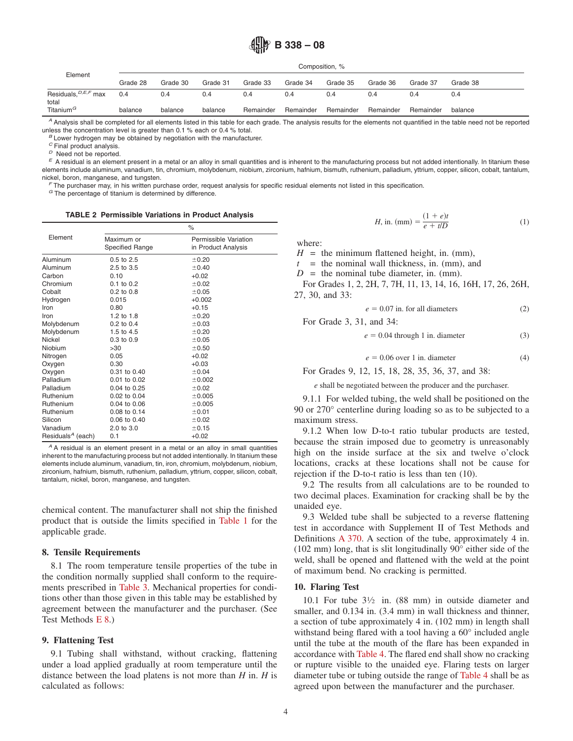# **B 338 – 08**

Composition, %

| Grade 30<br>Grade 28 | Grade 31 | Grade 33  | Grade 34  | Grade 35  | Grade 36  | Grade 37  | Grade 38 |  |  |  |  |
|----------------------|----------|-----------|-----------|-----------|-----------|-----------|----------|--|--|--|--|
| 0.4                  | 0.4      | 0.4       | 0.4       | 0.4       | 0.4       | 0.4       | 0.4      |  |  |  |  |
| balance              | balance  | Remainder | Remainder | Remainder | Remainder | Remainder | balance  |  |  |  |  |
|                      |          |           |           |           |           |           |          |  |  |  |  |

*<sup>A</sup>* Analysis shall be completed for all elements listed in this table for each grade. The analysis results for the elements not quantified in the table need not be reported unless the concentration level is greater than 0.1 % each or 0.4 % total.<br><sup>*B*</sup> Lower hydrogen may be obtained by negotiation with the manufacturer.<br><sup>*C*</sup> Final product analysis.

 $P$  Need not be reported.<br>  $E$  A residual is an element present in a metal or an alloy in small quantities and is inherent to the manufacturing process but not added intentionally. In titanium these elements include aluminum, vanadium, tin, chromium, molybdenum, niobium, zirconium, hafnium, bismuth, ruthenium, palladium, yttrium, copper, silicon, cobalt, tantalum, nickel, boron, manganese, and tungsten.<br>*F* The purchaser may, in his written purchase order, request analysis for specific residual elements not listed in this specification.

*<sup>G</sup>* The percentage of titanium is determined by difference.

#### **TABLE 2 Permissible Variations in Product Analysis**

|                               | $\%$                                 |                                              |  |  |  |  |
|-------------------------------|--------------------------------------|----------------------------------------------|--|--|--|--|
| Element                       | Maximum or<br><b>Specified Range</b> | Permissible Variation<br>in Product Analysis |  |  |  |  |
| Aluminum                      | $0.5 \text{ to } 2.5$                | ±0.20                                        |  |  |  |  |
| Aluminum                      | 2.5 to 3.5                           | ±0.40                                        |  |  |  |  |
| Carbon                        | 0.10                                 | $+0.02$                                      |  |  |  |  |
| Chromium                      | $0.1$ to $0.2$                       | ±0.02                                        |  |  |  |  |
| Cobalt                        | $0.2$ to $0.8$                       | ±0.05                                        |  |  |  |  |
| Hydrogen                      | 0.015                                | $+0.002$                                     |  |  |  |  |
| Iron                          | 0.80                                 | $+0.15$                                      |  |  |  |  |
| Iron                          | 1.2 to 1.8                           | ±0.20                                        |  |  |  |  |
| Molybdenum                    | $0.2$ to $0.4$                       | ±0.03                                        |  |  |  |  |
| Molybdenum                    | 1.5 to 4.5                           | ±0.20                                        |  |  |  |  |
| Nickel                        | $0.3$ to $0.9$                       | ±0.05                                        |  |  |  |  |
| Niobium                       | >30                                  | ±0.50                                        |  |  |  |  |
| Nitrogen                      | 0.05                                 | $+0.02$                                      |  |  |  |  |
| Oxygen                        | 0.30                                 | $+0.03$                                      |  |  |  |  |
| Oxygen                        | 0.31 to 0.40                         | ±0.04                                        |  |  |  |  |
| Palladium                     | 0.01 to 0.02                         | ±0.002                                       |  |  |  |  |
| Palladium                     | 0.04 to 0.25                         | ±0.02                                        |  |  |  |  |
| Ruthenium                     | 0.02 to 0.04                         | ±0.005                                       |  |  |  |  |
| Ruthenium                     | 0.04 to 0.06                         | ±0.005                                       |  |  |  |  |
| Ruthenium                     | 0.08 to 0.14                         | ±0.01                                        |  |  |  |  |
| Silicon                       | 0.06 to 0.40                         | ±0.02                                        |  |  |  |  |
| Vanadium                      | 2.0 to 3.0                           | ±0.15                                        |  |  |  |  |
| Residuals <sup>A</sup> (each) | 0.1                                  | $+0.02$                                      |  |  |  |  |

*<sup>A</sup>* A residual is an element present in a metal or an alloy in small quantities inherent to the manufacturing process but not added intentionally. In titanium these elements include aluminum, vanadium, tin, iron, chromium, molybdenum, niobium, zirconium, hafnium, bismuth, ruthenium, palladium, yttrium, copper, silicon, cobalt, tantalum, nickel, boron, manganese, and tungsten.

chemical content. The manufacturer shall not ship the finished product that is outside the limits specified in [Table 1](#page-2-0) for the applicable grade.

#### **8. Tensile Requirements**

8.1 The room temperature tensile properties of the tube in the condition normally supplied shall conform to the requirements prescribed in [Table 3.](#page-4-0) Mechanical properties for conditions other than those given in this table may be established by agreement between the manufacturer and the purchaser. (See Test Methods [E 8.](#page-1-5))

#### **9. Flattening Test**

9.1 Tubing shall withstand, without cracking, flattening under a load applied gradually at room temperature until the distance between the load platens is not more than *H* in. *H* is calculated as follows:

<span id="page-3-2"></span>*H*, in. (mm) =  $\frac{(1 + e)t}{e + t/D}$  (1)

where:

 $H =$  the minimum flattened height, in. (mm),

 $t =$  the nominal wall thickness, in. (mm), and

 $D =$  the nominal tube diameter, in. (mm).

For Grades 1, 2, 2H, 7, 7H, 11, 13, 14, 16, 16H, 17, 26, 26H, 27, 30, and 33:

$$
e = 0.07
$$
 in. for all diameters (2)

For Grade 3, 31, and 34:

$$
e = 0.04
$$
 through 1 in. diameter (3)

$$
e = 0.06 \text{ over } 1 \text{ in. diameter} \tag{4}
$$

For Grades 9, 12, 15, 18, 28, 35, 36, 37, and 38:

*e* shall be negotiated between the producer and the purchaser.

9.1.1 For welded tubing, the weld shall be positioned on the 90 or 270° centerline during loading so as to be subjected to a maximum stress.

9.1.2 When low D-to-t ratio tubular products are tested, because the strain imposed due to geometry is unreasonably high on the inside surface at the six and twelve o'clock locations, cracks at these locations shall not be cause for rejection if the D-to-t ratio is less than ten (10).

9.2 The results from all calculations are to be rounded to two decimal places. Examination for cracking shall be by the unaided eye.

<span id="page-3-7"></span><span id="page-3-5"></span><span id="page-3-3"></span><span id="page-3-0"></span>9.3 Welded tube shall be subjected to a reverse flattening test in accordance with Supplement II of Test Methods and Definitions [A 370.](#page-6-3) A section of the tube, approximately 4 in. (102 mm) long, that is slit longitudinally 90° either side of the weld, shall be opened and flattened with the weld at the point of maximum bend. No cracking is permitted.

# **10. Flaring Test**

<span id="page-3-6"></span><span id="page-3-4"></span><span id="page-3-1"></span>10.1 For tube 31⁄2 in. (88 mm) in outside diameter and smaller, and 0.134 in. (3.4 mm) in wall thickness and thinner, a section of tube approximately 4 in. (102 mm) in length shall withstand being flared with a tool having a 60° included angle until the tube at the mouth of the flare has been expanded in accordance with [Table 4.](#page-5-0) The flared end shall show no cracking or rupture visible to the unaided eye. Flaring tests on larger diameter tube or tubing outside the range of [Table 4](#page-5-0) shall be as agreed upon between the manufacturer and the purchaser.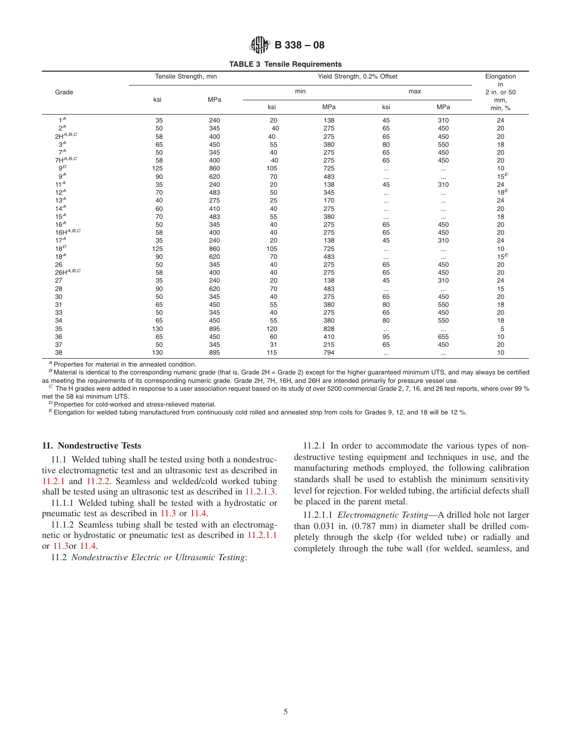# <span id="page-4-0"></span>**B 338 – 08**

**TABLE 3 Tensile Requirements**

|                        |     | Tensile Strength, min | Yield Strength, 0.2% Offset |     |          |          | Elongation<br>in |
|------------------------|-----|-----------------------|-----------------------------|-----|----------|----------|------------------|
| Grade                  |     | MPa                   | min                         |     | max      |          | 2 in. or 50      |
|                        | ksi |                       | ksi                         | MPa | ksi      | MPa      | mm,<br>min, %    |
| $1^A$                  | 35  | 240                   | 20                          | 138 | 45       | 310      | 24               |
| $2^A$                  | 50  | 345                   | 40                          | 275 | 65       | 450      | 20               |
| $2H^{A,B,C}$           | 58  | 400                   | 40                          | 275 | 65       | 450      | 20               |
| $3^A$                  | 65  | 450                   | 55                          | 380 | 80       | 550      | 18               |
| $7^A$                  | 50  | 345                   | 40                          | 275 | 65       | 450      | 20               |
| $7\mathsf{H}^{A,B,C}$  | 58  | 400                   | 40                          | 275 | 65       | 450      | 20               |
| 9 <sup>D</sup>         | 125 | 860                   | 105                         | 725 |          | $\cdots$ | 10               |
| $9^A$                  | 90  | 620                   | 70                          | 483 | $\cdots$ | $\cdots$ | $15^E$           |
| 11 <sup>A</sup>        | 35  | 240                   | 20                          | 138 | 45       | 310      | 24               |
| $12^A$                 | 70  | 483                   | 50                          | 345 |          | $\cdots$ | $18^E$           |
| 13 <sup>A</sup>        | 40  | 275                   | 25                          | 170 |          | $\cdots$ | 24               |
| 14 <sup>A</sup>        | 60  | 410                   | 40                          | 275 |          | $\cdots$ | 20               |
| $15^A$                 | 70  | 483                   | 55                          | 380 | $\cdots$ | $\cdots$ | 18               |
| 16 <sup>A</sup>        | 50  | 345                   | 40                          | 275 | 65       | 450      | 20               |
| $16H^{A,B,C}$          | 58  | 400                   | 40                          | 275 | 65       | 450      | 20               |
| 17 <sup>A</sup>        | 35  | 240                   | 20                          | 138 | 45       | 310      | 24               |
| $18^D$                 | 125 | 860                   | 105                         | 725 |          | $\cdots$ | 10               |
| 18 <sup>A</sup>        | 90  | 620                   | 70                          | 483 | $\cdots$ | $\cdots$ | $15^E$           |
| 26                     | 50  | 345                   | 40                          | 275 | 65       | 450      | 20               |
| $26\mathsf{H}^{A,B,C}$ | 58  | 400                   | 40                          | 275 | 65       | 450      | 20               |
| 27                     | 35  | 240                   | 20                          | 138 | 45       | 310      | 24               |
| 28                     | 90  | 620                   | 70                          | 483 | $\cdots$ | $\ldots$ | 15               |
| 30                     | 50  | 345                   | 40                          | 275 | 65       | 450      | 20               |
| 31                     | 65  | 450                   | 55                          | 380 | 80       | 550      | 18               |
| 33                     | 50  | 345                   | 40                          | 275 | 65       | 450      | 20               |
| 34                     | 65  | 450                   | 55                          | 380 | 80       | 550      | 18               |
| 35                     | 130 | 895                   | 120                         | 828 | $\cdots$ | $\cdots$ | 5                |
| 36                     | 65  | 450                   | 60                          | 410 | 95       | 655      | 10               |
| 37                     | 50  | 345                   | 31                          | 215 | 65       | 450      | 20               |
| 38                     | 130 | 895                   | 115                         | 794 | $\cdots$ | $\cdots$ | 10               |

*<sup>A</sup>* Properties for material in the annealed condition.

*B* Material is identical to the corresponding numeric grade (that is, Grade 2H = Grade 2) except for the higher guaranteed minimum UTS, and may always be certified as meeting the requirements of its corresponding numeric

 $\degree$  The H grades were added in response to a user association request based on its study of over 5200 commercial Grade 2, 7, 16, and 26 test reports, where over 99 % met the 58 ksi minimum UTS.

 $P$  Properties for cold-worked and stress-relieved material.<br>  $E$  Elongation for welded tubing manufactured from continuously cold rolled and annealed strip from coils for Grades 9, 12, and 18 will be 12 %.

# **11. Nondestructive Tests**

11.1 Welded tubing shall be tested using both a nondestructive electromagnetic test and an ultrasonic test as described in [11.2.1](#page-4-2) and [11.2.2.](#page-5-1) Seamless and welded/cold worked tubing shall be tested using an ultrasonic test as described in [11.2.1.3.](#page-5-2)

11.1.1 Welded tubing shall be tested with a hydrostatic or pneumatic test as described in [11.3](#page-5-3) or [11.4.](#page-5-4)

11.1.2 Seamless tubing shall be tested with an electromagnetic or hydrostatic or pneumatic test as described in [11.2.1.1](#page-4-3) or [11.3o](#page-5-3)r [11.4.](#page-5-4)

11.2 *Nondestructive Electric or Ultrasonic Testing*:

<span id="page-4-4"></span><span id="page-4-2"></span><span id="page-4-1"></span>11.2.1 In order to accommodate the various types of nondestructive testing equipment and techniques in use, and the manufacturing methods employed, the following calibration standards shall be used to establish the minimum sensitivity level for rejection. For welded tubing, the artificial defects shall be placed in the parent metal.

<span id="page-4-3"></span>11.2.1.1 *Electromagnetic Testing*—A drilled hole not larger than 0.031 in. (0.787 mm) in diameter shall be drilled completely through the skelp (for welded tube) or radially and completely through the tube wall (for welded, seamless, and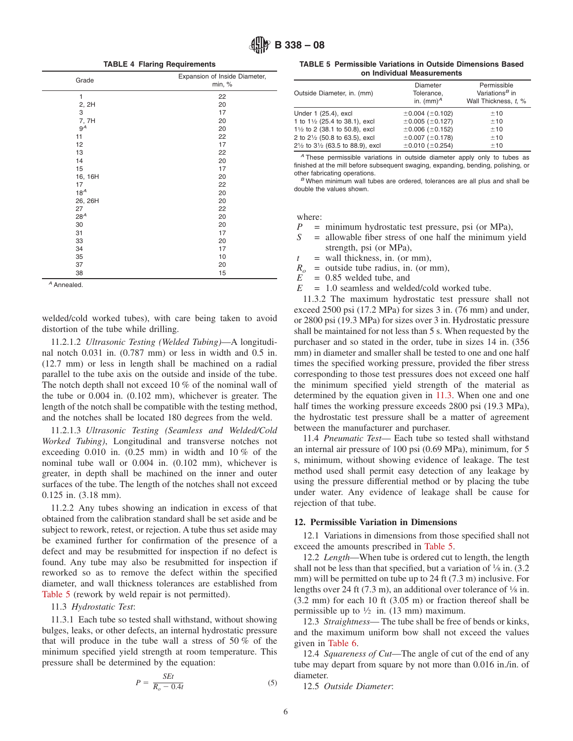**TABLE 4 Flaring Requirements**

| Grade           | Expansion of Inside Diameter,<br>min, % |
|-----------------|-----------------------------------------|
| $\mathbf{1}$    | 22                                      |
| 2, 2H           | 20                                      |
| 3               | 17                                      |
| 7, 7H           | 20                                      |
| $9^A$           | 20                                      |
| 11              | 22                                      |
| 12              | 17                                      |
| 13              | 22                                      |
| 14              | 20                                      |
| 15              | 17                                      |
| 16, 16H         | 20                                      |
| 17              | 22                                      |
| 18 <sup>A</sup> | 20                                      |
| 26, 26H         | 20                                      |
| 27              | 22                                      |
| 28 <sup>A</sup> | 20                                      |
| 30              | 20                                      |
| 31              | 17                                      |
| 33              | 20                                      |
| 34              | 17                                      |
| 35              | 10                                      |
| 37              | 20                                      |
| 38              | 15                                      |

*<sup>A</sup>* Annealed.

welded/cold worked tubes), with care being taken to avoid distortion of the tube while drilling.

11.2.1.2 *Ultrasonic Testing (Welded Tubing)*—A longitudinal notch 0.031 in. (0.787 mm) or less in width and 0.5 in. (12.7 mm) or less in length shall be machined on a radial parallel to the tube axis on the outside and inside of the tube. The notch depth shall not exceed 10 % of the nominal wall of the tube or 0.004 in. (0.102 mm), whichever is greater. The length of the notch shall be compatible with the testing method, and the notches shall be located 180 degrees from the weld.

11.2.1.3 *Ultrasonic Testing (Seamless and Welded/Cold Worked Tubing)*, Longitudinal and transverse notches not exceeding  $0.010$  in.  $(0.25 \text{ mm})$  in width and  $10\%$  of the nominal tube wall or 0.004 in. (0.102 mm), whichever is greater, in depth shall be machined on the inner and outer surfaces of the tube. The length of the notches shall not exceed 0.125 in. (3.18 mm).

11.2.2 Any tubes showing an indication in excess of that obtained from the calibration standard shall be set aside and be subject to rework, retest, or rejection. A tube thus set aside may be examined further for confirmation of the presence of a defect and may be resubmitted for inspection if no defect is found. Any tube may also be resubmitted for inspection if reworked so as to remove the defect within the specified diameter, and wall thickness tolerances are established from [Table 5](#page-5-5) (rework by weld repair is not permitted).

11.3 *Hydrostatic Test*:

11.3.1 Each tube so tested shall withstand, without showing bulges, leaks, or other defects, an internal hydrostatic pressure that will produce in the tube wall a stress of 50 % of the minimum specified yield strength at room temperature. This pressure shall be determined by the equation:

$$
P = \frac{SEt}{R_o - 0.4t} \tag{5}
$$

<span id="page-5-5"></span><span id="page-5-0"></span>**TABLE 5 Permissible Variations in Outside Dimensions Based on Individual Measurements**

| Outside Diameter, in. (mm)                                                                                                                                      | Diameter<br>Tolerance.<br>in. $(mm)^A$                                                                                        | Permissible<br>Variations <sup>B</sup> in<br>Wall Thickness. t. % |
|-----------------------------------------------------------------------------------------------------------------------------------------------------------------|-------------------------------------------------------------------------------------------------------------------------------|-------------------------------------------------------------------|
| Under 1 (25.4), excl<br>1 to 11/2 (25.4 to 38.1), excl<br>11/2 to 2 (38.1 to 50.8), excl<br>2 to 21/2 (50.8 to 63.5), excl<br>21/2 to 31/2 (63.5 to 88.9), excl | $\pm 0.004$ ( $\pm 0.102$ )<br>±0.005(±0.127)<br>$\pm 0.006$ ( $\pm 0.152$ )<br>±0.007(±0.178)<br>$\pm 0.010$ ( $\pm 0.254$ ) | ±10<br>±10<br>±10<br>±10<br>±10                                   |

*<sup>A</sup>* These permissible variations in outside diameter apply only to tubes as finished at the mill before subsequent swaging, expanding, bending, polishing, or

B When minimum wall tubes are ordered, tolerances are all plus and shall be double the values shown.

where:

- *P* = minimum hydrostatic test pressure, psi (or MPa),<br> $S =$  allowable fiber stress of one half the minimum vi
- = allowable fiber stress of one half the minimum yield strength, psi (or MPa),
- $t =$  wall thickness, in. (or mm),

 $R_{o}$  = outside tube radius, in. (or mm),

- $E = 0.85$  welded tube, and
- *E* = 1.0 seamless and welded/cold worked tube.

11.3.2 The maximum hydrostatic test pressure shall not exceed 2500 psi (17.2 MPa) for sizes 3 in. (76 mm) and under, or 2800 psi (19.3 MPa) for sizes over 3 in. Hydrostatic pressure shall be maintained for not less than 5 s. When requested by the purchaser and so stated in the order, tube in sizes 14 in. (356 mm) in diameter and smaller shall be tested to one and one half times the specified working pressure, provided the fiber stress corresponding to those test pressures does not exceed one half the minimum specified yield strength of the material as determined by the equation given in [11.3.](#page-5-3) When one and one half times the working pressure exceeds 2800 psi (19.3 MPa), the hydrostatic test pressure shall be a matter of agreement between the manufacturer and purchaser.

<span id="page-5-4"></span><span id="page-5-2"></span>11.4 *Pneumatic Test*— Each tube so tested shall withstand an internal air pressure of 100 psi (0.69 MPa), minimum, for 5 s, minimum, without showing evidence of leakage. The test method used shall permit easy detection of any leakage by using the pressure differential method or by placing the tube under water. Any evidence of leakage shall be cause for rejection of that tube.

#### <span id="page-5-1"></span>**12. Permissible Variation in Dimensions**

12.1 Variations in dimensions from those specified shall not exceed the amounts prescribed in [Table 5.](#page-5-5)

<span id="page-5-3"></span>12.2 *Length*—When tube is ordered cut to length, the length shall not be less than that specified, but a variation of  $\frac{1}{8}$  in. (3.2) mm) will be permitted on tube up to 24 ft (7.3 m) inclusive. For lengths over 24 ft (7.3 m), an additional over tolerance of  $\frac{1}{8}$  in. (3.2 mm) for each 10 ft (3.05 m) or fraction thereof shall be permissible up to  $\frac{1}{2}$  in. (13 mm) maximum.

12.3 *Straightness*— The tube shall be free of bends or kinks, and the maximum uniform bow shall not exceed the values given in [Table 6.](#page-6-4)

12.4 *Squareness of Cut*—The angle of cut of the end of any tube may depart from square by not more than 0.016 in./in. of diameter.

12.5 *Outside Diameter*: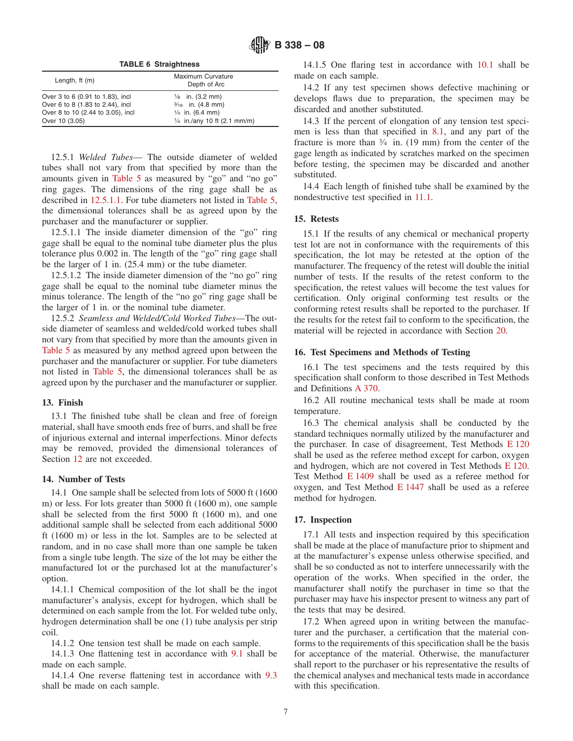**TABLE 6 Straightness**

| Length, $ft(m)$                   | Maximum Curvature<br>Depth of Arc      |
|-----------------------------------|----------------------------------------|
| Over 3 to 6 (0.91 to 1.83), incl  | $\frac{1}{8}$ in. (3.2 mm)             |
| Over 6 to 8 (1.83 to 2.44), incl  | $\frac{3}{16}$ in. (4.8 mm)            |
| Over 8 to 10 (2.44 to 3.05), incl | $\frac{1}{4}$ in. (6.4 mm)             |
| Over 10 (3.05)                    | $\frac{1}{4}$ in./any 10 ft (2.1 mm/m) |

12.5.1 *Welded Tubes*— The outside diameter of welded tubes shall not vary from that specified by more than the amounts given in [Table 5](#page-5-5) as measured by "go" and "no go" ring gages. The dimensions of the ring gage shall be as described in [12.5.1.1.](#page-6-5) For tube diameters not listed in [Table 5,](#page-5-5) the dimensional tolerances shall be as agreed upon by the purchaser and the manufacturer or supplier.

12.5.1.1 The inside diameter dimension of the "go" ring gage shall be equal to the nominal tube diameter plus the plus tolerance plus 0.002 in. The length of the "go" ring gage shall be the larger of 1 in. (25.4 mm) or the tube diameter.

12.5.1.2 The inside diameter dimension of the "no go" ring gage shall be equal to the nominal tube diameter minus the minus tolerance. The length of the "no go" ring gage shall be the larger of 1 in. or the nominal tube diameter.

12.5.2 *Seamless and Welded/Cold Worked Tubes*—The outside diameter of seamless and welded/cold worked tubes shall not vary from that specified by more than the amounts given in [Table 5](#page-5-5) as measured by any method agreed upon between the purchaser and the manufacturer or supplier. For tube diameters not listed in [Table 5,](#page-5-5) the dimensional tolerances shall be as agreed upon by the purchaser and the manufacturer or supplier.

#### **13. Finish**

13.1 The finished tube shall be clean and free of foreign material, shall have smooth ends free of burrs, and shall be free of injurious external and internal imperfections. Minor defects may be removed, provided the dimensional tolerances of Section 12 are not exceeded.

#### **14. Number of Tests**

14.1 One sample shall be selected from lots of 5000 ft (1600 m) or less. For lots greater than 5000 ft (1600 m), one sample shall be selected from the first 5000 ft (1600 m), and one additional sample shall be selected from each additional 5000 ft (1600 m) or less in the lot. Samples are to be selected at random, and in no case shall more than one sample be taken from a single tube length. The size of the lot may be either the manufactured lot or the purchased lot at the manufacturer's option.

14.1.1 Chemical composition of the lot shall be the ingot manufacturer's analysis, except for hydrogen, which shall be determined on each sample from the lot. For welded tube only, hydrogen determination shall be one (1) tube analysis per strip coil.

14.1.2 One tension test shall be made on each sample.

14.1.3 One flattening test in accordance with [9.1](#page-3-4) shall be made on each sample.

14.1.4 One reverse flattening test in accordance with [9.3](#page-3-5) shall be made on each sample.

<span id="page-6-4"></span>14.1.5 One flaring test in accordance with [10.1](#page-3-6) shall be made on each sample.

14.2 If any test specimen shows defective machining or develops flaws due to preparation, the specimen may be discarded and another substituted.

14.3 If the percent of elongation of any tension test specimen is less than that specified in [8.1,](#page-3-7) and any part of the fracture is more than 3⁄4 in. (19 mm) from the center of the gage length as indicated by scratches marked on the specimen before testing, the specimen may be discarded and another substituted.

14.4 Each length of finished tube shall be examined by the nondestructive test specified in [11.1.](#page-4-4)

#### <span id="page-6-5"></span>**15. Retests**

15.1 If the results of any chemical or mechanical property test lot are not in conformance with the requirements of this specification, the lot may be retested at the option of the manufacturer. The frequency of the retest will double the initial number of tests. If the results of the retest conform to the specification, the retest values will become the test values for certification. Only original conforming test results or the conforming retest results shall be reported to the purchaser. If the results for the retest fail to conform to the specification, the material will be rejected in accordance with Section 20.

#### **16. Test Specimens and Methods of Testing**

<span id="page-6-3"></span>16.1 The test specimens and the tests required by this specification shall conform to those described in Test Methods and Definitions [A 370.](#page-1-6)

16.2 All routine mechanical tests shall be made at room temperature.

<span id="page-6-6"></span><span id="page-6-2"></span><span id="page-6-1"></span><span id="page-6-0"></span>16.3 The chemical analysis shall be conducted by the standard techniques normally utilized by the manufacturer and the purchaser. In case of disagreement, Test Methods [E 120](#page-6-6) shall be used as the referee method except for carbon, oxygen and hydrogen, which are not covered in Test Methods [E 120.](#page-1-7) Test Method [E 1409](#page-1-8) shall be used as a referee method for oxygen, and Test Method [E 1447](#page-1-9) shall be used as a referee method for hydrogen.

#### **17. Inspection**

17.1 All tests and inspection required by this specification shall be made at the place of manufacture prior to shipment and at the manufacturer's expense unless otherwise specified, and shall be so conducted as not to interfere unnecessarily with the operation of the works. When specified in the order, the manufacturer shall notify the purchaser in time so that the purchaser may have his inspector present to witness any part of the tests that may be desired.

17.2 When agreed upon in writing between the manufacturer and the purchaser, a certification that the material conforms to the requirements of this specification shall be the basis for acceptance of the material. Otherwise, the manufacturer shall report to the purchaser or his representative the results of the chemical analyses and mechanical tests made in accordance with this specification.